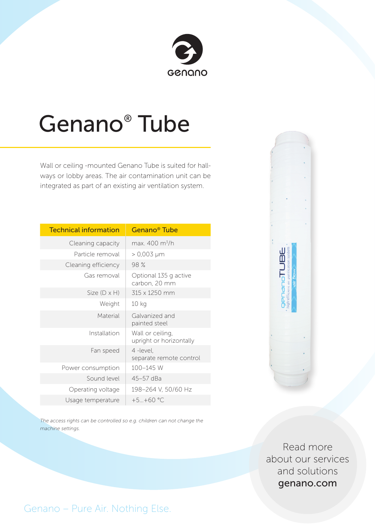

## Genano® Tube

Wall or ceiling -mounted Genano Tube is suited for hallways or lobby areas. The air contamination unit can be integrated as part of an existing air ventilation system.

| <b>Technical information</b> | Genano <sup>®</sup> Tube                    |
|------------------------------|---------------------------------------------|
| Cleaning capacity            | max. 400 m <sup>3</sup> /h                  |
| Particle removal             | $> 0,003 \mu m$                             |
| Cleaning efficiency          | 98 %                                        |
| Gas removal                  | Optional 135 g active<br>carbon, 20 mm      |
| Size $(D \times H)$          | 315 x 1250 mm                               |
| Weight                       | 10 <sub>kg</sub>                            |
| Material                     | Galvanized and<br>painted steel             |
| Installation                 | Wall or ceiling,<br>upright or horizontally |
| Fan speed                    | 4 -level,<br>separate remote control        |
| Power consumption            | 100-145 W                                   |
| Sound level                  | 45-57 dBa                                   |
| Operating voltage            | 198-264 V, 50/60 Hz                         |
| Usage temperature            | $+5+60$ °C                                  |

*The access rights can be controlled so e.g. children can not change the machine settings.*



Read more about our services and solutions genano.com

Genano – Pure Air. Nothing Else.